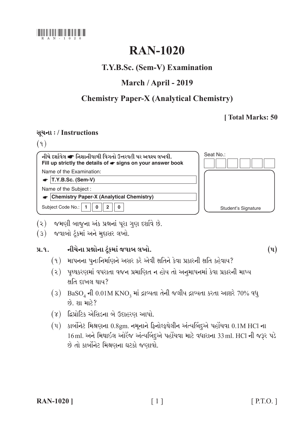

# **RAN-1020**

# T.Y.B.Sc. (Sem-V) Examination

# March / April - 2019

# **Chemistry Paper-X (Analytical Chemistry)**

## [Total Marks: 50

### સૂચના: / Instructions

 $(9)$ 

Seat No.: નીચે દર્શાવેલ ☞ નિશાનીવાળી વિગતો ઉત્તરવહી પર અવશ્ય લખવી. Fill up strictly the details of  $\bullet$  signs on your answer book Name of the Examination:  $\bullet$  T.Y.B.Sc. (Sem-V) Name of the Subject: • Chemistry Paper-X (Analytical Chemistry) Subject Code No.: 1  $\overline{0}$  $2$   $\parallel$  $\mathbf{0}$ **Student's Signature** 

- (૨) જમણી બાજુના અંક પ્રશ્નનાં પૂરા ગુણ દર્શાવે છે.
- (3) જવાબો ટંકમાં અને મુદ્દાસર લખો.

#### નીચેના પ્રશ્નોના ટુંકમાં જવાબ લખો.  $9.9.$

- (१) માપનના પુનઃનિર્માણને અસર કરે એવી ક્ષતિને કેવા પ્રકારની ક્ષતિ કહેવાય?
- (૨) પૃથ્થકરણમાં વપરાતા વજન પ્રમાણિત ન હોય તો અનુમાપનમાં કેવા પ્રકારની માપ્ય ક્ષતિ દાખલ થાય?
- (3) BaSO<sub>4</sub> ની 0.01M KNO<sub>3</sub> માં દ્રાવ્યતા તેની જલીય દ્રાવ્યતા કરતા આશરે 70% વધુ  $60$   $91$   $113$ ?
- (૪) દ્વિપ્રોટિક એસિડના બે ઉદાહરણ આપો.
- $(4)$  કાર્બોનેટ મિશ્રણના 0.8gm. નમૂનાને ફિનોલ્ફથેલીન અંત્યબિંદ્દએ પહોંચવા 0.1M HCl ના 16ml. અને મિથાઇલ ઓરેંજ અંત્યબિંદુએ પહોંચવા માટે વધારાના 33ml. HCl ની જરૂર પડે છે તો કાર્બોનેટ મિશ્રણના ઘટકો જણાવો.

 $\left( \mathrm{u}\right)$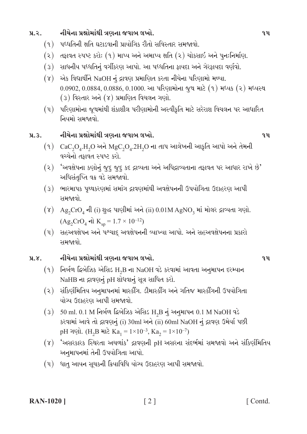#### નીચેના પ્રશ્નોમાંથી ત્રણના જવાબ લખો.  $9.2.$

- (૧) પધ્ધતિની ક્ષતિ ઘટાડવાની પ્રાયોગિક રીતો સવિસ્તાર સમજાવો.
- (૨) તફાવત સ્પષ્ટ કરો: (૧) માપ્ય અને અમાપ્ય ક્ષતિ (૨) ચોકસાઇ અને પુનઃનિર્માણ.
- (૩) સાધનીય પધ્ધતિનું વર્ગીકરણ આપો. આ પધ્ધતિના ફાયદા અને ગેરફાયદા વર્ણવો.
- એક વિદ્યાર્થીને NaOH નું દ્રાવણ પ્રમાણિત કરતા નીચેના પરિણામો મળ્યા.  $(\lambda)$  $0.0902, 0.0884, 0.0886, 0.1000$ . આ પરિણામોના જુથ માટે  $(9)$  મધ્યક  $(2)$  મધ્યસ્થ  $(3)$  વિસ્તાર અને  $(8)$  પ્રમાણિત વિચલન ગણો.
- (૫) પરિણામોના જૂથમાંથી શંકાશીલ પરીણામોની અસ્વીકૃતિ માટે સરેરાશ વિચલન પર આધારિત નિયમો સમજાવો.

#### નીચેના પ્રશ્નોમાંથી ત્રણના જવાબ લખો.  $9.3.$

- $(9)$  CaC<sub>2</sub>O<sub>4</sub>.H<sub>2</sub>O અને MgC<sub>2</sub>O<sub>4</sub>.2H<sub>2</sub>O ના તાપ આલેખની આકૃતિ આપો અને તેમની વચ્ચેનો તકાવત સ્પષ્ટ કરો.
- $(3)$  'અવક્ષેપના કણોનું જુદુ જુદુ કદ દ્રાવ્યતા અને અધિદ્રાવ્યતાના તફાવત પર આધાર રાખે છે' અધિસંતપ્તિ વક્ર વડે સમજાવો.
- (3) ભારમાપક પૃથ્થકરણમાં સમાંગ દ્રાવણમાંથી અવક્ષેપનની ઉપયોગિતા ઉદાહરણ આપી સમજાવો
- $(\gamma)$  Ag<sub>2</sub>CrO<sub>4</sub> ની (i) શુદ્ધ પાણીમાં અને (ii) 0.01M AgNO<sub>3</sub> માં મોલર દ્રાવ્યતા ગણો.  $(Ag_2CrO_4 \text{ el } K_{\text{sn}} = 1.7 \times 10^{-12})$
- (૫) સહઅવક્ષેપન અને પશ્ચાદ્ અવક્ષેપનની વ્યાખ્યા આપો. અને સહઅવક્ષેપનના પ્રકારો સમજાવો.

#### નીચેના પ્રશ્નોમાંથી ત્રણના જવાબ લખો.  $9.8.$

- $(9)$  નિર્બળ દ્વિબેઝિક એસિડ H<sub>2</sub>B ના NaOH વડે કરવામાં આવતા અનુમાપન દરમ્યાન NaHB ના દ્રાવણનું pH શોધવાનું સૂત્ર સાધિત કરો.
- (૨) સંકિર્ણમિતિય અનુમાપનમાં માસ્કીંગ. ડીમાસ્કીંગ અને ગતિજ માસ્કીંગની ઉપયોગિતા યોગ્ય ઉદાહરણ આપી સમજાવો.
- $(3)$  50 ml. 0.1 M નિર્બળ દ્વિબેઝિક એસિડ H<sub>2</sub>B નું અનુમાપન 0.1 M NaOH વડે કરવામાં આવે તો દ્રાવણનું (i) 30ml અને (ii) 60ml NaOH નું દ્રાવણ ઉમેર્યા પછી pH ગણો. (H<sub>2</sub>B માટે Ka<sub>1</sub> =  $1 \times 10^{-3}$ , Ka<sub>2</sub> =  $1 \times 10^{-7}$ )
- (૪) 'અસરકારક સ્થિરતા અચળાંક' દ્રાવણની pH અસરના સંદર્ભમાં સમજાવો અને સંક્રિણીમેતિય અનુમાપનમાં તેની ઉપયોગિતા આપો.
- (૫) ધાતુ આયન સૂચકની ક્રિયાવિધિ યોગ્ય ઉદાહરણ આપી સમજાવો.

### **RAN-1020** ]

[Contd.]

### $\mathbf{q}$

 $q_{\mathbf{u}}$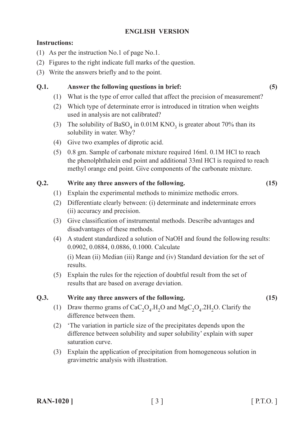### **ENGLISH VERSION**

### **Instructions:**

- (1) As per the instruction No.1 of page No.1.
- (2) Figures to the right indicate full marks of the question.
- (3) Write the answers briefly and to the point.

### **Q.1. Answer the following questions in brief: (5)**

- (1) What is the type of error called that affect the precision of measurement?
- (2) Which type of determinate error is introduced in titration when weights used in analysis are not calibrated?
- (3) The solubility of BaSO<sub>4</sub> in 0.01M KNO<sub>3</sub> is greater about 70% than its solubility in water. Why?
- (4) Give two examples of diprotic acid.
- (5) 0.8 gm. Sample of carbonate mixture required 16ml. 0.1M HCl to reach the phenolphthalein end point and additional 33ml HCl is required to reach methyl orange end point. Give components of the carbonate mixture.

### **Q.2. Write any three answers of the following. (15)**

- (1) Explain the experimental methods to minimize methodic errors.
- (2) Differentiate clearly between: (i) determinate and indeterminate errors (ii) accuracy and precision.
- (3) Give classification of instrumental methods. Describe advantages and disadvantages of these methods.
- (4) A student standardized a solution of NaOH and found the following results: 0.0902, 0.0884, 0.0886, 0.1000. Calculate

 (i) Mean (ii) Median (iii) Range and (iv) Standard deviation for the set of results.

(5) Explain the rules for the rejection of doubtful result from the set of results that are based on average deviation.

### **Q.3. Write any three answers of the following. (15)**

- 
- (1) Draw thermo grams of  $CaC_2O_4$ . H<sub>2</sub>O and MgC<sub>2</sub>O<sub>4</sub>. 2H<sub>2</sub>O. Clarify the difference between them.
- (2) 'The variation in particle size of the precipitates depends upon the difference between solubility and super solubility' explain with super saturation curve.
- (3) Explain the application of precipitation from homogeneous solution in gravimetric analysis with illustration.